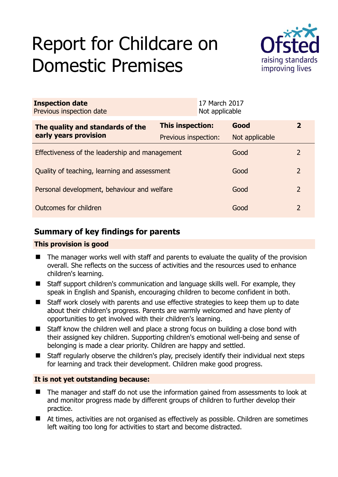# Report for Childcare on Domestic Premises



| <b>Inspection date</b><br>Previous inspection date        | 17 March 2017<br>Not applicable |                |                |
|-----------------------------------------------------------|---------------------------------|----------------|----------------|
| The quality and standards of the<br>early years provision | This inspection:                | Good           | $\overline{2}$ |
|                                                           | Previous inspection:            | Not applicable |                |
| Effectiveness of the leadership and management            |                                 | Good           | 2              |
| Quality of teaching, learning and assessment              |                                 | Good           | $\overline{2}$ |
| Personal development, behaviour and welfare               |                                 | Good           | $\overline{2}$ |
| Outcomes for children                                     |                                 | Good           | $\mathcal{P}$  |

# **Summary of key findings for parents**

# **This provision is good**

- $\blacksquare$  The manager works well with staff and parents to evaluate the quality of the provision overall. She reflects on the success of activities and the resources used to enhance children's learning.
- Staff support children's communication and language skills well. For example, they speak in English and Spanish, encouraging children to become confident in both.
- Staff work closely with parents and use effective strategies to keep them up to date about their children's progress. Parents are warmly welcomed and have plenty of opportunities to get involved with their children's learning.
- Staff know the children well and place a strong focus on building a close bond with their assigned key children. Supporting children's emotional well-being and sense of belonging is made a clear priority. Children are happy and settled.
- Staff regularly observe the children's play, precisely identify their individual next steps for learning and track their development. Children make good progress.

# **It is not yet outstanding because:**

- The manager and staff do not use the information gained from assessments to look at and monitor progress made by different groups of children to further develop their practice.
- At times, activities are not organised as effectively as possible. Children are sometimes left waiting too long for activities to start and become distracted.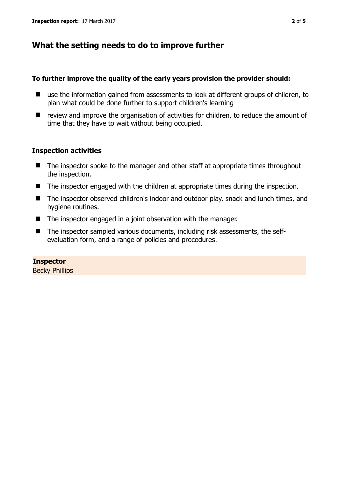# **What the setting needs to do to improve further**

## **To further improve the quality of the early years provision the provider should:**

- use the information gained from assessments to look at different groups of children, to plan what could be done further to support children's learning
- review and improve the organisation of activities for children, to reduce the amount of time that they have to wait without being occupied.

## **Inspection activities**

- The inspector spoke to the manager and other staff at appropriate times throughout the inspection.
- The inspector engaged with the children at appropriate times during the inspection.
- The inspector observed children's indoor and outdoor play, snack and lunch times, and hygiene routines.
- The inspector engaged in a joint observation with the manager.
- The inspector sampled various documents, including risk assessments, the selfevaluation form, and a range of policies and procedures.

# **Inspector**

Becky Phillips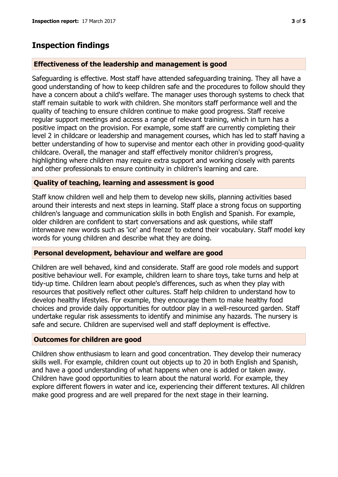# **Inspection findings**

## **Effectiveness of the leadership and management is good**

Safeguarding is effective. Most staff have attended safeguarding training. They all have a good understanding of how to keep children safe and the procedures to follow should they have a concern about a child's welfare. The manager uses thorough systems to check that staff remain suitable to work with children. She monitors staff performance well and the quality of teaching to ensure children continue to make good progress. Staff receive regular support meetings and access a range of relevant training, which in turn has a positive impact on the provision. For example, some staff are currently completing their level 2 in childcare or leadership and management courses, which has led to staff having a better understanding of how to supervise and mentor each other in providing good-quality childcare. Overall, the manager and staff effectively monitor children's progress, highlighting where children may require extra support and working closely with parents and other professionals to ensure continuity in children's learning and care.

#### **Quality of teaching, learning and assessment is good**

Staff know children well and help them to develop new skills, planning activities based around their interests and next steps in learning. Staff place a strong focus on supporting children's language and communication skills in both English and Spanish. For example, older children are confident to start conversations and ask questions, while staff interweave new words such as 'ice' and freeze' to extend their vocabulary. Staff model key words for young children and describe what they are doing.

#### **Personal development, behaviour and welfare are good**

Children are well behaved, kind and considerate. Staff are good role models and support positive behaviour well. For example, children learn to share toys, take turns and help at tidy-up time. Children learn about people's differences, such as when they play with resources that positively reflect other cultures. Staff help children to understand how to develop healthy lifestyles. For example, they encourage them to make healthy food choices and provide daily opportunities for outdoor play in a well-resourced garden. Staff undertake regular risk assessments to identify and minimise any hazards. The nursery is safe and secure. Children are supervised well and staff deployment is effective.

#### **Outcomes for children are good**

Children show enthusiasm to learn and good concentration. They develop their numeracy skills well. For example, children count out objects up to 20 in both English and Spanish, and have a good understanding of what happens when one is added or taken away. Children have good opportunities to learn about the natural world. For example, they explore different flowers in water and ice, experiencing their different textures. All children make good progress and are well prepared for the next stage in their learning.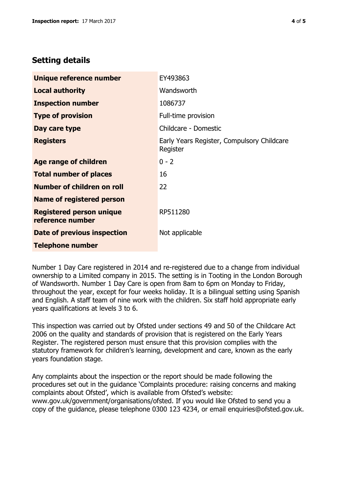# **Setting details**

| Unique reference number                             | EY493863                                               |  |
|-----------------------------------------------------|--------------------------------------------------------|--|
| <b>Local authority</b>                              | Wandsworth                                             |  |
| <b>Inspection number</b>                            | 1086737                                                |  |
| <b>Type of provision</b>                            | Full-time provision                                    |  |
| Day care type                                       | Childcare - Domestic                                   |  |
| <b>Registers</b>                                    | Early Years Register, Compulsory Childcare<br>Register |  |
| <b>Age range of children</b>                        | $0 - 2$                                                |  |
| <b>Total number of places</b>                       | 16                                                     |  |
| Number of children on roll                          | 22                                                     |  |
| Name of registered person                           |                                                        |  |
| <b>Registered person unique</b><br>reference number | RP511280                                               |  |
| Date of previous inspection                         | Not applicable                                         |  |
| <b>Telephone number</b>                             |                                                        |  |

Number 1 Day Care registered in 2014 and re-registered due to a change from individual ownership to a Limited company in 2015. The setting is in Tooting in the London Borough of Wandsworth. Number 1 Day Care is open from 8am to 6pm on Monday to Friday, throughout the year, except for four weeks holiday. It is a bilingual setting using Spanish and English. A staff team of nine work with the children. Six staff hold appropriate early years qualifications at levels 3 to 6.

This inspection was carried out by Ofsted under sections 49 and 50 of the Childcare Act 2006 on the quality and standards of provision that is registered on the Early Years Register. The registered person must ensure that this provision complies with the statutory framework for children's learning, development and care, known as the early years foundation stage.

Any complaints about the inspection or the report should be made following the procedures set out in the guidance 'Complaints procedure: raising concerns and making complaints about Ofsted', which is available from Ofsted's website: www.gov.uk/government/organisations/ofsted. If you would like Ofsted to send you a copy of the guidance, please telephone 0300 123 4234, or email enquiries@ofsted.gov.uk.